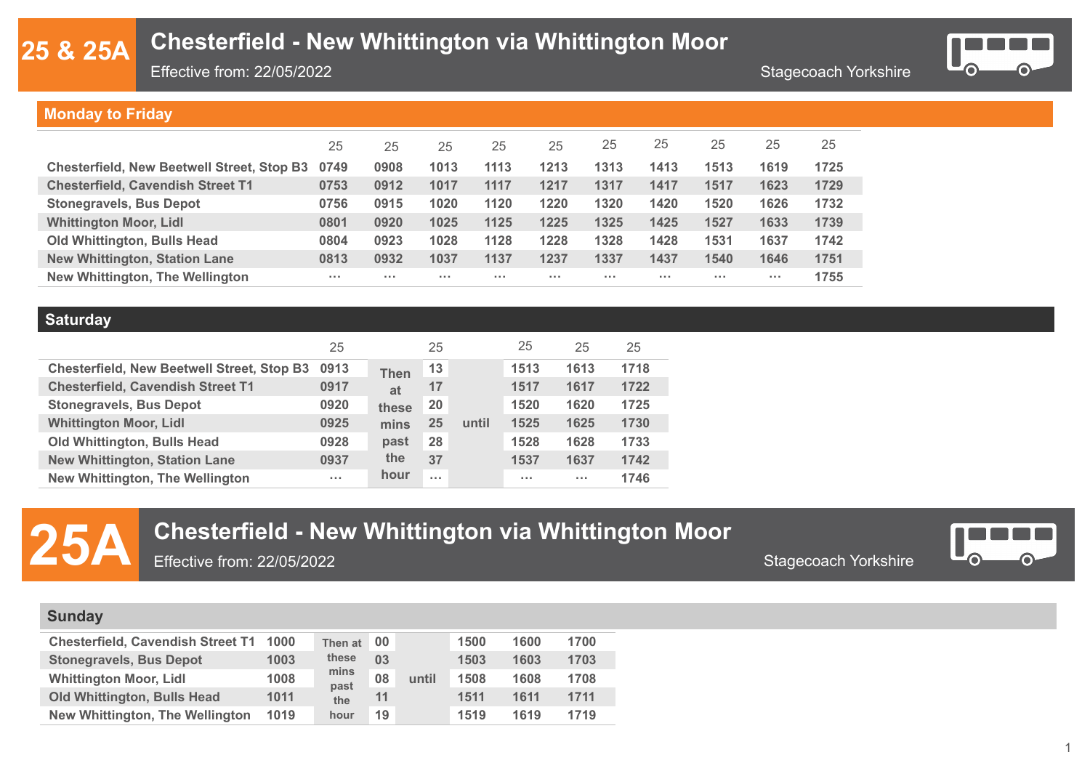### **& 25A**

### **Chesterfield - New Whittington via Whittington Moor**

Effective from: 22/05/2022

Stagecoach Yorkshire



#### **Monday to Friday**

|                                                   | 25       | 25       | 25       | 25       | 25       | 25       | 25   | 25       | 25                   | 25   |
|---------------------------------------------------|----------|----------|----------|----------|----------|----------|------|----------|----------------------|------|
| <b>Chesterfield, New Beetwell Street, Stop B3</b> | 0749     | 0908     | 1013     | 1113     | 1213     | 1313     | 1413 | 1513     | 1619                 | 1725 |
| <b>Chesterfield, Cavendish Street T1</b>          | 0753     | 0912     | 1017     | 1117     | 1217     | 1317     | 1417 | 1517     | 1623                 | 1729 |
| <b>Stonegravels, Bus Depot</b>                    | 0756     | 0915     | 1020     | 1120     | 1220     | 1320     | 1420 | 1520     | 1626                 | 1732 |
| <b>Whittington Moor, Lidl</b>                     | 0801     | 0920     | 1025     | 1125     | 1225     | 1325     | 1425 | 1527     | 1633                 | 1739 |
| <b>Old Whittington, Bulls Head</b>                | 0804     | 0923     | 1028     | 1128     | 1228     | 1328     | 1428 | 1531     | 1637                 | 1742 |
| <b>New Whittington, Station Lane</b>              | 0813     | 0932     | 1037     | 1137     | 1237     | 1337     | 1437 | 1540     | 1646                 | 1751 |
| <b>New Whittington, The Wellington</b>            | $\cdots$ | $\cdots$ | $\cdots$ | $\cdots$ | $\cdots$ | $\cdots$ | 1.11 | $\cdots$ | $\sim$ $\sim$ $\sim$ | 1755 |

#### **Saturday**

|                                                   | 25         |             | 25         |       | 25                   | 25                   | 25   |
|---------------------------------------------------|------------|-------------|------------|-------|----------------------|----------------------|------|
| <b>Chesterfield, New Beetwell Street, Stop B3</b> | 0913       | <b>Then</b> | 13         |       | 1513                 | 1613                 | 1718 |
| <b>Chesterfield, Cavendish Street T1</b>          | 0917       | at          | 17         |       | 1517                 | 1617                 | 1722 |
| <b>Stonegravels, Bus Depot</b>                    | 0920       | these       | 20         |       | 1520                 | 1620                 | 1725 |
| <b>Whittington Moor, Lidl</b>                     | 0925       | mins        | 25         | until | 1525                 | 1625                 | 1730 |
| <b>Old Whittington, Bulls Head</b>                | 0928       | past        | 28         |       | 1528                 | 1628                 | 1733 |
| <b>New Whittington, Station Lane</b>              | 0937       | the         | 37         |       | 1537                 | 1637                 | 1742 |
| New Whittington, The Wellington                   | $\sim 100$ | hour        | $\sim 100$ |       | $\sim$ $\sim$ $\sim$ | $\sim$ $\sim$ $\sim$ | 1746 |

# **25A** Chesterfield - New Whittington via Whittington Moor<br>**Chesterfield - New Whittington via Whittington Moor** Stagecoach Yorkshire

Effective from: 22/05/2022



#### **Sunday**

| Chesterfield, Cavendish Street T1 1000 |      | Then at<br>these<br>mins<br>past<br>the<br>hour | 00 |       | 1500 | 1600 | 1700 |
|----------------------------------------|------|-------------------------------------------------|----|-------|------|------|------|
| <b>Stonegravels, Bus Depot</b>         | 1003 |                                                 | 03 |       | 1503 | 1603 | 1703 |
| <b>Whittington Moor, Lidl</b>          | 1008 |                                                 | 08 | until | 1508 | 1608 | 1708 |
| <b>Old Whittington, Bulls Head</b>     | 1011 |                                                 | 11 |       | 1511 | 1611 | 1711 |
| New Whittington, The Wellington        | 1019 |                                                 | 19 |       | 1519 | 1619 | 1719 |